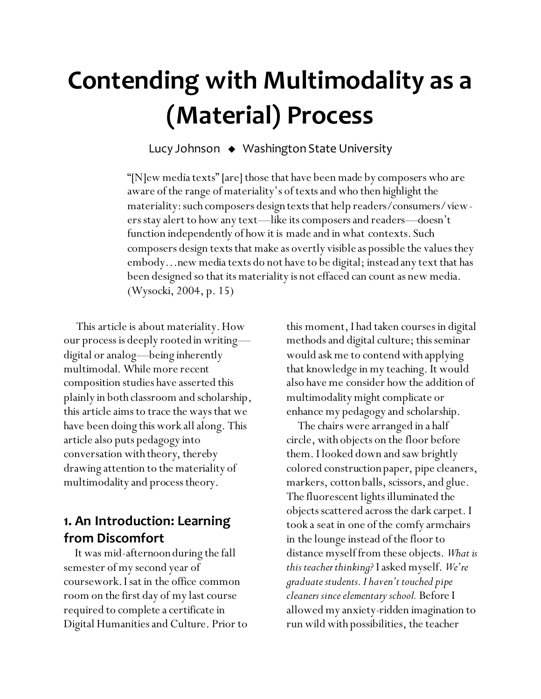# **Contending with Multimodality as a (Material) Process**

Lucy Johnson Washington State University

"[N]ew media texts" [are] those that have been made by composers who are aware of the range of materiality's of texts and who then highlight the materiality: such composers design texts that help readers/consumers/viewers stay alert to how any text—like its composers and readers—doesn't function independently of how it is made and in what contexts. Such composers design texts that make as overtly visible as possible the values they embody…new media texts do not have to be digital; instead any text that has been designed so that its materiality is not effaced can count as new media. (Wysocki, 2004, p. 15)

This article is about materiality. How our process is deeply rooted in writing digital or analog—being inherently multimodal. While more recent composition studies have asserted this plainly in both classroom and scholarship, this article aims to trace the ways that we have been doing this work all along. This article also puts pedagogy into conversation with theory, thereby drawing attention to the materiality of multimodality and process theory.

### **1. An Introduction: Learning from Discomfort**

 It was mid-afternoon during the fall semester of my second year of coursework. I sat in the office common room on the first day of my last course required to complete a certificate in Digital Humanities and Culture. Prior to this moment, I had taken courses in digital methods and digital culture; this seminar would ask me to contend with applying that knowledge in my teaching. It would also have me consider how the addition of multimodality might complicate or enhance my pedagogy and scholarship.

 The chairs were arranged in a half circle, with objects on the floor before them. I looked down and saw brightly colored construction paper, pipe cleaners, markers, cotton balls, scissors, and glue. The fluorescent lights illuminated the objects scattered across the dark carpet. I took a seat in one of the comfy armchairs in the lounge instead of the floor to distance myself from these objects. *What is this teacher thinking?* I asked myself. *We're graduate students. I haven't touched pipe cleaners since elementary school.* Before I allowed my anxiety-ridden imagination to run wild with possibilities, the teacher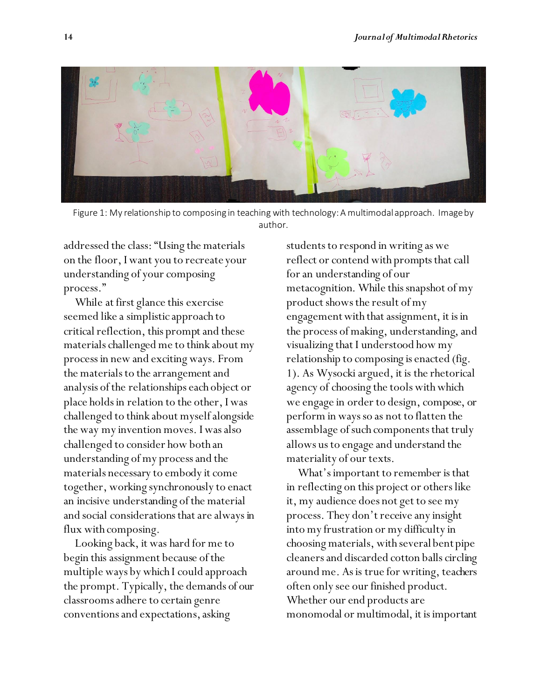

Figure 1: My relationship to composing in teaching with technology: A multimodal approach. Image by author.

addressed the class: "Using the materials on the floor, I want you to recreate your understanding of your composing process."

 While at first glance this exercise seemed like a simplistic approach to critical reflection, this prompt and these materials challenged me to think about my process in new and exciting ways. From the materials to the arrangement and analysis of the relationships each object or place holds in relation to the other, I was challenged to think about myself alongside the way my invention moves. I was also challenged to consider how both an understanding of my process and the materials necessary to embody it come together, working synchronously to enact an incisive understanding of the material and social considerations that are always in flux with composing.

 Looking back, it was hard for me to begin this assignment because of the multiple ways by which I could approach the prompt. Typically, the demands of our classrooms adhere to certain genre conventions and expectations, asking

students to respond in writing as we reflect or contend with prompts that call for an understanding of our metacognition. While this snapshot of my product shows the result of my engagement with that assignment, it is in the process of making, understanding, and visualizing that I understood how my relationship to composing is enacted (fig. 1). As Wysocki argued, it is the rhetorical agency of choosing the tools with which we engage in order to design, compose, or perform in ways so as not to flatten the assemblage of such components that truly allows us to engage and understand the materiality of our texts.

 What's important to remember is that in reflecting on this project or others like it, my audience does not get to see my process. They don't receive any insight into my frustration or my difficulty in choosing materials, with several bent pipe cleaners and discarded cotton balls circling around me. As is true for writing, teachers often only see our finished product. Whether our end products are monomodal or multimodal, it is important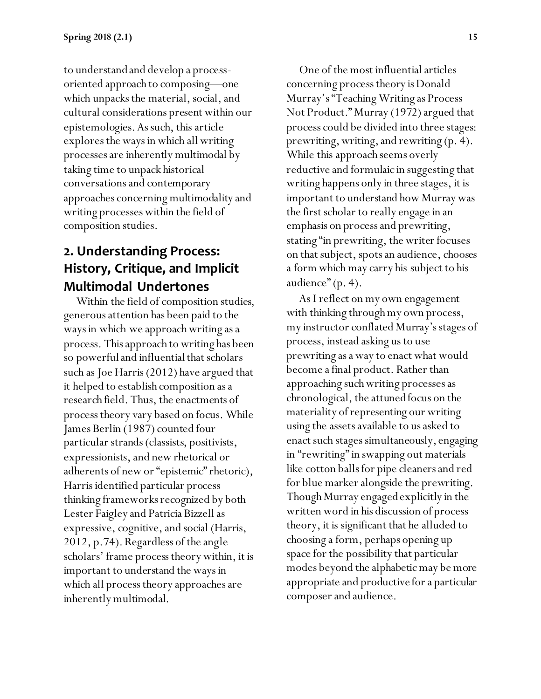to understand and develop a processoriented approach to composing—one which unpacks the material, social, and cultural considerations present within our epistemologies. As such, this article explores the ways in which all writing processes are inherently multimodal by taking time to unpack historical conversations and contemporary approaches concerning multimodality and writing processes within the field of composition studies.

# **2. Understanding Process: History, Critique, and Implicit Multimodal Undertones**

Within the field of composition studies, generous attention has been paid to the ways in which we approach writing as a process. This approach to writing has been so powerful and influential that scholars such as Joe Harris (2012) have argued that it helped to establish composition as a research field. Thus, the enactments of process theory vary based on focus. While James Berlin (1987) counted four particular strands (classists, positivists, expressionists, and new rhetorical or adherents of new or "epistemic" rhetoric), Harris identified particular process thinking frameworks recognized by both Lester Faigley and Patricia Bizzell as expressive, cognitive, and social (Harris, 2012, p.74). Regardless of the angle scholars' frame process theory within, it is important to understand the ways in which all process theory approaches are inherently multimodal.

One of the most influential articles concerning process theory is Donald Murray's "Teaching Writing as Process Not Product." Murray (1972) argued that process could be divided into three stages: prewriting, writing, and rewriting (p. 4). While this approach seems overly reductive and formulaic in suggesting that writing happens only in three stages, it is important to understand how Murray was the first scholar to really engage in an emphasis on process and prewriting, stating "in prewriting, the writer focuses on that subject, spots an audience, chooses a form which may carry his subject to his audience" (p. 4).

As I reflect on my own engagement with thinking through my own process, my instructor conflated Murray's stages of process, instead asking us to use prewriting as a way to enact what would become a final product. Rather than approaching such writing processes as chronological, the attuned focus on the materiality of representing our writing using the assets available to us asked to enact such stages simultaneously, engaging in "rewriting" in swapping out materials like cotton balls for pipe cleaners and red for blue marker alongside the prewriting. Though Murray engaged explicitly in the written word in his discussion of process theory, it is significant that he alluded to choosing a form, perhaps opening up space for the possibility that particular modes beyond the alphabetic may be more appropriate and productive for a particular composer and audience.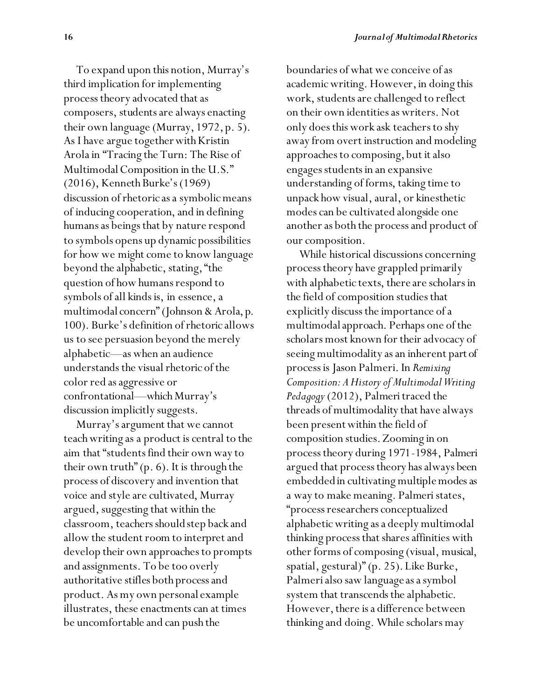To expand upon this notion, Murray's third implication for implementing process theory advocated that as composers, students are always enacting their own language (Murray, 1972, p. 5). As I have argue together with Kristin Arola in "Tracing the Turn: The Rise of Multimodal Composition in the U.S." (2016), Kenneth Burke's (1969) discussion of rhetoric as a symbolic means of inducing cooperation, and in defining humans as beings that by nature respond to symbols opens up dynamic possibilities for how we might come to know language beyond the alphabetic, stating, "the question of how humans respond to symbols of all kinds is, in essence, a multimodal concern" (Johnson & Arola, p. 100). Burke's definition of rhetoric allows us to see persuasion beyond the merely alphabetic—as when an audience understands the visual rhetoric of the color red as aggressive or confrontational—which Murray's discussion implicitly suggests.

Murray's argument that we cannot teach writing as a product is central to the aim that "students find their own way to their own truth" (p. 6). It is through the process of discovery and invention that voice and style are cultivated, Murray argued, suggesting that within the classroom, teachers should step back and allow the student room to interpret and develop their own approaches to prompts and assignments. To be too overly authoritative stifles both process and product. As my own personal example illustrates, these enactments can at times be uncomfortable and can push the

boundaries of what we conceive of as academic writing. However, in doing this work, students are challenged to reflect on their own identities as writers. Not only does this work ask teachers to shy away from overt instruction and modeling approaches to composing, but it also engages students in an expansive understanding of forms, taking time to unpack how visual, aural, or kinesthetic modes can be cultivated alongside one another as both the process and product of our composition.

While historical discussions concerning process theory have grappled primarily with alphabetic texts, there are scholars in the field of composition studies that explicitly discuss the importance of a multimodal approach. Perhaps one of the scholars most known for their advocacy of seeing multimodality as an inherent part of process is Jason Palmeri. In *Remixing Composition: A History of Multimodal Writing Pedagogy*(2012), Palmeri traced the threads of multimodality that have always been present within the field of composition studies. Zooming in on process theory during 1971-1984, Palmeri argued that process theory has always been embedded in cultivating multiple modes as a way to make meaning. Palmeri states, "process researchers conceptualized alphabetic writing as a deeply multimodal thinking process that shares affinities with other forms of composing (visual, musical, spatial, gestural)" (p. 25). Like Burke, Palmeri also saw language as a symbol system that transcends the alphabetic. However, there is a difference between thinking and doing. While scholars may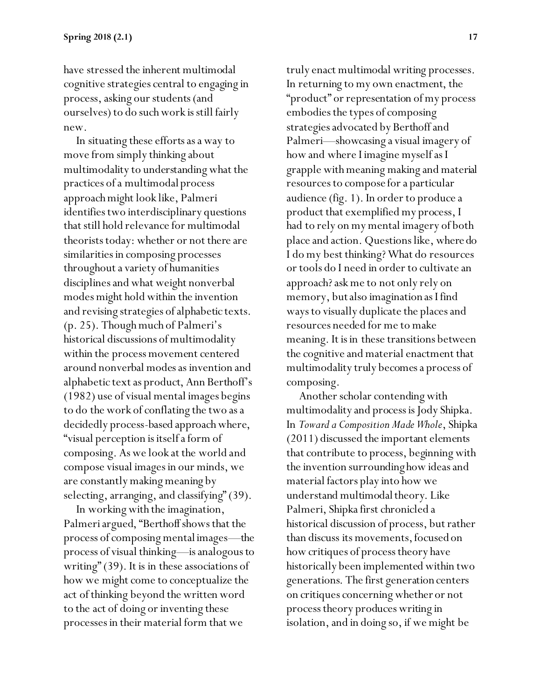have stressed the inherent multimodal cognitive strategies central to engaging in process, asking our students (and ourselves) to do such work is still fairly new.

In situating these efforts as a way to move from simply thinking about multimodality to understanding what the practices of a multimodal process approach might look like, Palmeri identifies two interdisciplinary questions that still hold relevance for multimodal theorists today: whether or not there are similarities in composing processes throughout a variety of humanities disciplines and what weight nonverbal modes might hold within the invention and revising strategies of alphabetic texts. (p. 25). Though much of Palmeri's historical discussions of multimodality within the process movement centered around nonverbal modes as invention and alphabetic text as product, Ann Berthoff's (1982) use of visual mental images begins to do the work of conflating the two as a decidedly process-based approach where, "visual perception is itself a form of composing. As we look at the world and compose visual images in our minds, we are constantly making meaning by selecting, arranging, and classifying" (39).

In working with the imagination, Palmeri argued, "Berthoff shows that the process of composing mental images—the process of visual thinking—is analogous to writing" (39). It is in these associations of how we might come to conceptualize the act of thinking beyond the written word to the act of doing or inventing these processes in their material form that we

truly enact multimodal writing processes. In returning to my own enactment, the "product" or representation of my process embodies the types of composing strategies advocated by Berthoff and Palmeri—showcasing a visual imagery of how and where I imagine myself as I grapple with meaning making and material resources to compose for a particular audience (fig. 1). In order to produce a product that exemplified my process, I had to rely on my mental imagery of both place and action. Questions like, where do I do my best thinking? What do resources or tools do I need in order to cultivate an approach? ask me to not only rely on memory, but also imagination as I find ways to visually duplicate the places and resources needed for me to make meaning. It is in these transitions between the cognitive and material enactment that multimodality truly becomes a process of composing.

Another scholar contending with multimodality and process is Jody Shipka. In *Toward a Composition Made Whole*, Shipka (2011) discussed the important elements that contribute to process, beginning with the invention surrounding how ideas and material factors play into how we understand multimodal theory. Like Palmeri, Shipka first chronicled a historical discussion of process, but rather than discuss its movements, focused on how critiques of process theory have historically been implemented within two generations. The first generation centers on critiques concerning whether or not process theory produces writing in isolation, and in doing so, if we might be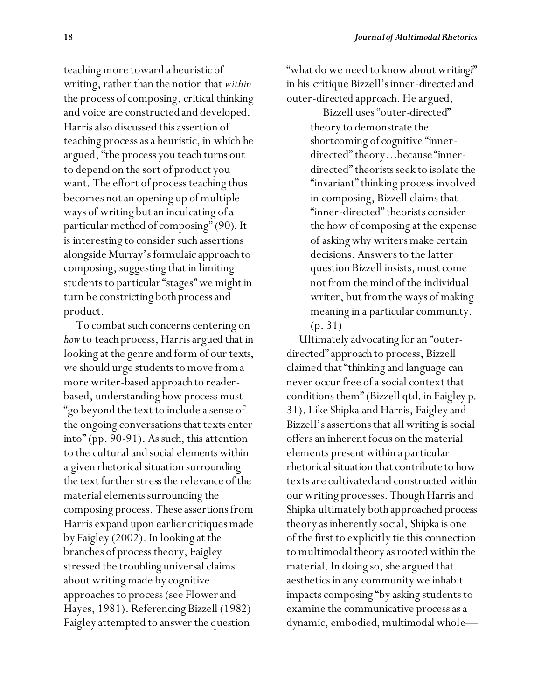teaching more toward a heuristic of writing, rather than the notion that *within* the process of composing, critical thinking and voice are constructed and developed. Harris also discussed this assertion of teaching process as a heuristic, in which he argued, "the process you teach turns out to depend on the sort of product you want. The effort of process teaching thus becomes not an opening up of multiple ways of writing but an inculcating of a particular method of composing" (90). It is interesting to consider such assertions alongside Murray's formulaic approach to composing, suggesting that in limiting students to particular "stages" we might in turn be constricting both process and product.

To combat such concerns centering on *how* to teach process, Harris argued that in looking at the genre and form of our texts, we should urge students to move from a more writer-based approach to readerbased, understanding how process must "go beyond the text to include a sense of the ongoing conversations that texts enter into" (pp. 90-91). As such, this attention to the cultural and social elements within a given rhetorical situation surrounding the text further stress the relevance of the material elements surrounding the composing process. These assertions from Harris expand upon earlier critiques made by Faigley (2002). In looking at the branches of process theory, Faigley stressed the troubling universal claims about writing made by cognitive approaches to process (see Flower and Hayes, 1981). Referencing Bizzell (1982) Faigley attempted to answer the question

"what do we need to know about writing?" in his critique Bizzell's inner-directed and outer-directed approach. He argued,

> Bizzell uses "outer-directed" theory to demonstrate the shortcoming of cognitive "innerdirected" theory…because "innerdirected" theorists seek to isolate the "invariant" thinking process involved in composing, Bizzell claims that "inner-directed" theorists consider the how of composing at the expense of asking why writers make certain decisions. Answers to the latter question Bizzell insists, must come not from the mind of the individual writer, but from the ways of making meaning in a particular community. (p. 31)

Ultimately advocating for an "outerdirected" approach to process, Bizzell claimed that "thinking and language can never occur free of a social context that conditions them" (Bizzell qtd. in Faigley p. 31). Like Shipka and Harris, Faigley and Bizzell's assertions that all writing is social offers an inherent focus on the material elements present within a particular rhetorical situation that contribute to how texts are cultivated and constructed within our writing processes. Though Harris and Shipka ultimately both approached process theory as inherently social, Shipka is one of the first to explicitly tie this connection to multimodal theory as rooted within the material. In doing so, she argued that aesthetics in any community we inhabit impacts composing "by asking students to examine the communicative process as a dynamic, embodied, multimodal whole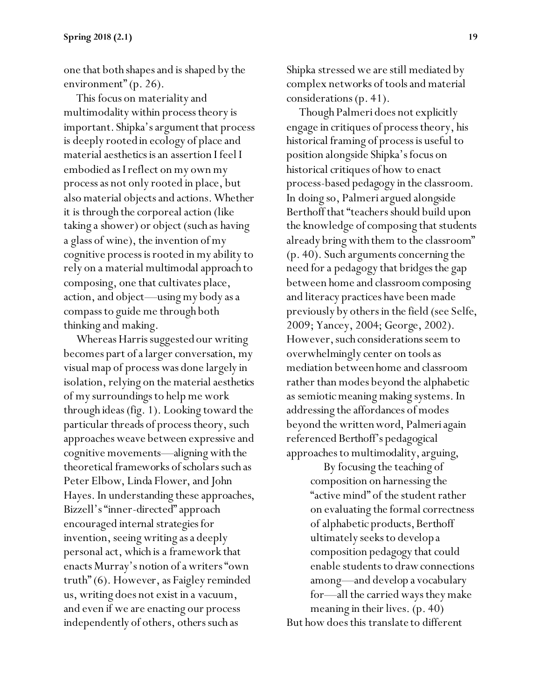one that both shapes and is shaped by the environment" (p. 26).

This focus on materiality and multimodality within process theory is important. Shipka's argument that process is deeply rooted in ecology of place and material aesthetics is an assertion I feel I embodied as I reflect on my own my process as not only rooted in place, but also material objects and actions. Whether it is through the corporeal action (like taking a shower) or object (such as having a glass of wine), the invention of my cognitive process is rooted in my ability to rely on a material multimodal approach to composing, one that cultivates place, action, and object—using my body as a compass to guide me through both thinking and making.

Whereas Harris suggested our writing becomes part of a larger conversation, my visual map of process was done largely in isolation, relying on the material aesthetics of my surroundings to help me work through ideas (fig. 1). Looking toward the particular threads of process theory, such approaches weave between expressive and cognitive movements—aligning with the theoretical frameworks of scholars such as Peter Elbow, Linda Flower, and John Hayes. In understanding these approaches, Bizzell's "inner-directed" approach encouraged internal strategies for invention, seeing writing as a deeply personal act, which is a framework that enacts Murray's notion of a writers "own truth" (6). However, as Faigley reminded us, writing does not exist in a vacuum, and even if we are enacting our process independently of others, others such as

Shipka stressed we are still mediated by complex networks of tools and material considerations (p. 41).

Though Palmeri does not explicitly engage in critiques of process theory, his historical framing of process is useful to position alongside Shipka's focus on historical critiques of how to enact process-based pedagogy in the classroom. In doing so, Palmeri argued alongside Berthoff that "teachers should build upon the knowledge of composing that students already bring with them to the classroom" (p. 40). Such arguments concerning the need for a pedagogy that bridges the gap between home and classroom composing and literacy practices have been made previously by others in the field (see Selfe, 2009; Yancey, 2004; George, 2002). However, such considerations seem to overwhelmingly center on tools as mediation between home and classroom rather than modes beyond the alphabetic as semiotic meaning making systems. In addressing the affordances of modes beyond the written word, Palmeri again referenced Berthoff's pedagogical approaches to multimodality, arguing,

By focusing the teaching of composition on harnessing the "active mind" of the student rather on evaluating the formal correctness of alphabetic products, Berthoff ultimately seeks to develop a composition pedagogy that could enable students to draw connections among—and develop a vocabulary for—all the carried ways they make meaning in their lives. (p. 40) But how does this translate to different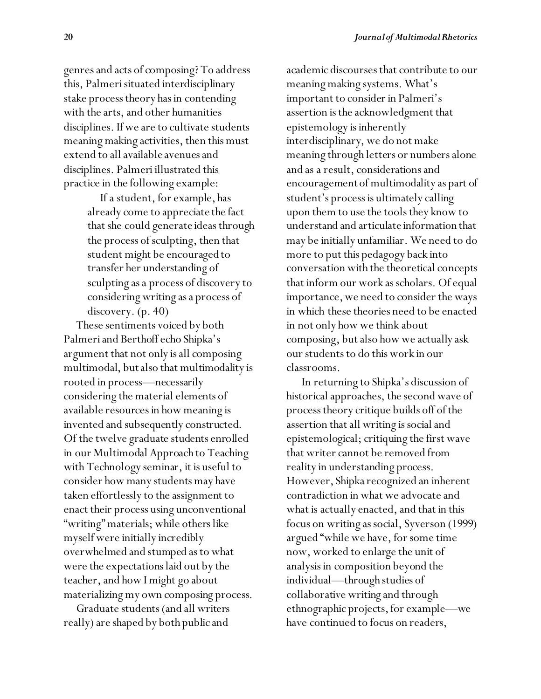genres and acts of composing? To address this, Palmeri situated interdisciplinary stake process theory has in contending with the arts, and other humanities disciplines. If we are to cultivate students meaning making activities, then this must extend to all available avenues and disciplines. Palmeri illustrated this practice in the following example:

> If a student, for example, has already come to appreciate the fact that she could generate ideas through the process of sculpting, then that student might be encouraged to transfer her understanding of sculpting as a process of discovery to considering writing as a process of discovery. (p. 40)

These sentiments voiced by both Palmeri and Berthoff echo Shipka's argument that not only is all composing multimodal, but also that multimodality is rooted in process—necessarily considering the material elements of available resources in how meaning is invented and subsequently constructed. Of the twelve graduate students enrolled in our Multimodal Approach to Teaching with Technology seminar, it is useful to consider how many students may have taken effortlessly to the assignment to enact their process using unconventional "writing" materials; while others like myself were initially incredibly overwhelmed and stumped as to what were the expectations laid out by the teacher, and how I might go about materializing my own composing process.

Graduate students (and all writers really) are shaped by both public and

academic discourses that contribute to our meaning making systems. What's important to consider in Palmeri's assertion is the acknowledgment that epistemology is inherently interdisciplinary, we do not make meaning through letters or numbers alone and as a result, considerations and encouragement of multimodality as part of student's process is ultimately calling upon them to use the tools they know to understand and articulate information that may be initially unfamiliar. We need to do more to put this pedagogy back into conversation with the theoretical concepts that inform our work as scholars. Of equal importance, we need to consider the ways in which these theories need to be enacted in not only how we think about composing, but also how we actually ask our students to do this work in our classrooms.

In returning to Shipka's discussion of historical approaches, the second wave of process theory critique builds off of the assertion that all writing is social and epistemological; critiquing the first wave that writer cannot be removed from reality in understanding process. However, Shipka recognized an inherent contradiction in what we advocate and what is actually enacted, and that in this focus on writing as social, Syverson (1999) argued "while we have, for some time now, worked to enlarge the unit of analysis in composition beyond the individual—through studies of collaborative writing and through ethnographic projects, for example—we have continued to focus on readers,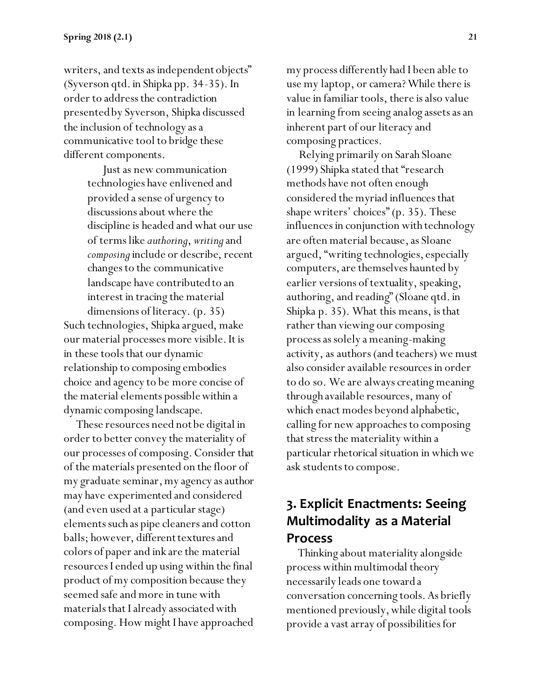writers, and texts as independent objects" (Syverson qtd. in Shipka pp. 34-35). In order to address the contradiction presented by Syverson, Shipka discussed the inclusion of technology as a communicative tool to bridge these different components.

> Just as new communication technologies have enlivened and provided a sense of urgency to discussions about where the discipline is headed and what our use of terms like *authoring*, *writing*and *composing*include or describe, recent changes to the communicative landscape have contributed to an interest in tracing the material dimensions of literacy. (p. 35)

Such technologies, Shipka argued, make our material processes more visible. It is in these tools that our dynamic relationship to composing embodies choice and agency to be more concise of the material elements possible within a dynamic composing landscape.

These resources need not be digital in order to better convey the materiality of our processes of composing. Consider that of the materials presented on the floor of my graduate seminar, my agency as author may have experimented and considered (and even used at a particular stage) elements such as pipe cleaners and cotton balls; however, different textures and colors of paper and ink are the material resources I ended up using within the final product of my composition because they seemed safe and more in tune with materials that I already associated with composing. How might I have approached

my process differently had I been able to use my laptop, or camera? While there is value in familiar tools, there is also value in learning from seeing analog assets as an inherent part of our literacy and composing practices.

Relying primarily on Sarah Sloane (1999) Shipka stated that "research methods have not often enough considered the myriad influences that shape writers' choices" (p. 35). These influences in conjunction with technology are often material because, as Sloane argued, "writing technologies, especially computers, are themselves haunted by earlier versions of textuality, speaking, authoring, and reading" (Sloane qtd. in Shipka p. 35). What this means, is that rather than viewing our composing process as solely a meaning-making activity, as authors (and teachers) we must also consider available resources in order to do so. We are always creating meaning through available resources, many of which enact modes beyond alphabetic, calling for new approaches to composing that stress the materiality within a particular rhetorical situation in whichwe ask students to compose.

#### **3. Explicit Enactments: Seeing Multimodality as a Material Process**

 Thinking about materiality alongside process within multimodal theory necessarily leads one toward a conversation concerning tools. As briefly mentioned previously, while digital tools provide a vast array of possibilities for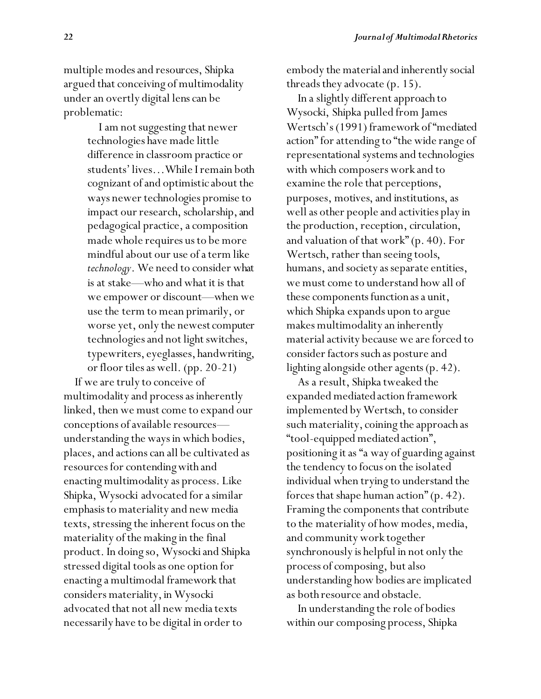multiple modes and resources, Shipka argued that conceiving of multimodality under an overtly digital lens can be problematic:

> I am not suggesting that newer technologies have made little difference in classroom practice or students' lives…While I remain both cognizant of and optimistic about the ways newer technologies promise to impact our research, scholarship, and pedagogical practice, a composition made whole requires us to be more mindful about our use of a term like *technology*. We need to consider what is at stake—who and what it is that we empower or discount—when we use the term to mean primarily, or worse yet, only the newest computer technologies and not light switches, typewriters, eyeglasses, handwriting, or floor tiles as well. (pp. 20-21)

 If we are truly to conceive of multimodality and process as inherently linked, then we must come to expand our conceptions of available resources understanding the ways in which bodies, places, and actions can all be cultivated as resources for contending with and enacting multimodality as process. Like Shipka, Wysocki advocated for a similar emphasis to materiality and new media texts, stressing the inherent focus on the materiality of the making in the final product. In doing so, Wysocki and Shipka stressed digital tools as one option for enacting a multimodal framework that considers materiality, in Wysocki advocated that not all new media texts necessarily have to be digital in order to

embody the material and inherently social threads they advocate (p. 15).

 In a slightly different approach to Wysocki, Shipka pulled from James Wertsch's (1991) framework of "mediated action" for attending to "the wide range of representational systems and technologies with which composers work and to examine the role that perceptions, purposes, motives, and institutions, as well as other people and activities play in the production, reception, circulation, and valuation of that work" (p. 40). For Wertsch, rather than seeing tools, humans, and society as separate entities, we must come to understand how all of these components function as a unit, which Shipka expands upon to argue makes multimodality an inherently material activity because we are forced to consider factors such as posture and lighting alongside other agents (p. 42).

 As a result, Shipka tweaked the expanded mediated action framework implemented by Wertsch, to consider such materiality, coining the approach as "tool-equipped mediated action", positioning it as "a way of guarding against the tendency to focus on the isolated individual when trying to understand the forces that shape human action" (p. 42). Framing the components that contribute to the materiality of how modes, media, and community work together synchronously is helpful in not only the process of composing, but also understanding how bodies are implicated as both resource and obstacle.

 In understanding the role of bodies within our composing process, Shipka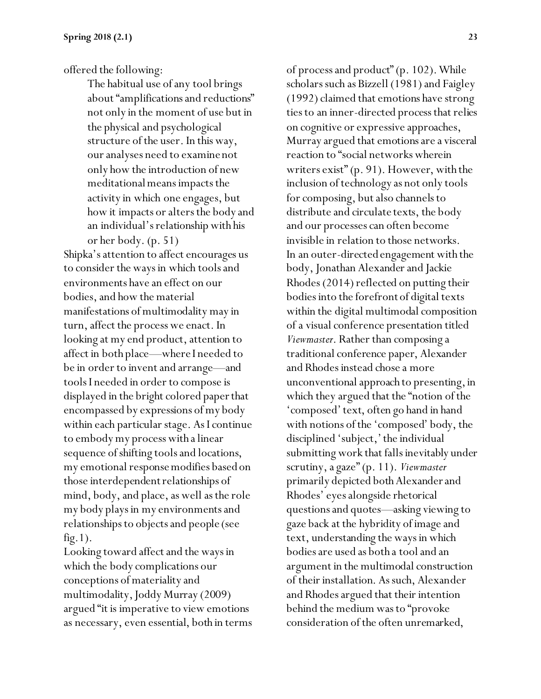offered the following:

The habitual use of any tool brings about "amplifications and reductions" not only in the moment of use but in the physical and psychological structure of the user. In this way, our analyses need to examine not only how the introduction of new meditational means impacts the activity in which one engages, but how it impacts or alters the body and an individual's relationship with his or her body. (p. 51)

Shipka's attention to affect encourages us to consider the ways in which tools and environments have an effect on our bodies, and how the material manifestations of multimodality may in turn, affect the process we enact. In looking at my end product, attention to affect in both place—where I needed to be in order to invent and arrange—and tools I needed in order to compose is displayed in the bright colored paper that encompassed by expressions of my body within each particular stage. As I continue to embody my process with a linear sequence of shifting tools and locations, my emotional response modifies based on those interdependent relationships of mind, body, and place, as well as the role my body plays in my environments and relationships to objects and people (see fig.1).

Looking toward affect and the ways in which the body complications our conceptions of materiality and multimodality, Joddy Murray (2009) argued "it is imperative to view emotions as necessary, even essential, both in terms of process and product" (p. 102). While scholars such as Bizzell (1981) and Faigley (1992) claimed that emotions have strong ties to an inner-directed process that relies on cognitive or expressive approaches, Murray argued that emotions are a visceral reaction to "social networks wherein writers exist" (p. 91). However, with the inclusion of technology as not only tools for composing, but also channels to distribute and circulate texts, the body and our processes can often become invisible in relation to those networks. In an outer-directed engagement with the body, Jonathan Alexander and Jackie Rhodes (2014) reflected on putting their bodies into the forefront of digital texts within the digital multimodal composition of a visual conference presentation titled *Viewmaster*. Rather than composing a traditional conference paper, Alexander and Rhodes instead chose a more unconventional approach to presenting, in which they argued that the "notion of the 'composed' text, often go hand in hand with notions of the 'composed' body, the disciplined 'subject,' the individual submitting work that falls inevitably under scrutiny, a gaze" (p. 11). *Viewmaster* primarily depicted both Alexander and Rhodes' eyes alongside rhetorical questions and quotes—asking viewing to gaze back at the hybridity of image and text, understanding the ways in which bodies are used as both a tool and an argument in the multimodal construction of their installation. As such, Alexander and Rhodes argued that their intention behind the medium was to "provoke consideration of the often unremarked,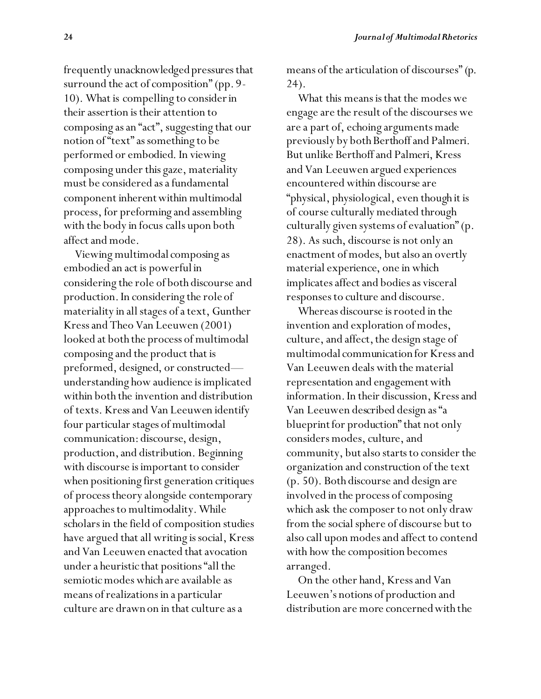frequently unacknowledged pressures that surround the act of composition" (pp. 9- 10). What is compelling to consider in their assertion is their attention to composing as an "act", suggesting that our notion of "text" as something to be performed or embodied. In viewing composing under this gaze, materiality must be considered as a fundamental component inherent within multimodal process, for preforming and assembling with the body in focus calls upon both affect and mode.

 Viewing multimodal composing as embodied an act is powerful in considering the role of both discourse and production. In considering the role of materiality in all stages of a text, Gunther Kress and Theo Van Leeuwen (2001) looked at both the process of multimodal composing and the product that is preformed, designed, or constructed understanding how audience is implicated within both the invention and distribution of texts. Kress and Van Leeuwen identify four particular stages of multimodal communication: discourse, design, production, and distribution. Beginning with discourse is important to consider when positioning first generation critiques of process theory alongside contemporary approaches to multimodality. While scholars in the field of composition studies have argued that all writing is social, Kress and Van Leeuwen enacted that avocation under a heuristic that positions "all the semiotic modes which are available as means of realizations in a particular culture are drawn on in that culture as a

means of the articulation of discourses" (p. 24).

 What this means is that the modes we engage are the result of the discourses we are a part of, echoing arguments made previously by both Berthoff and Palmeri. But unlike Berthoff and Palmeri, Kress and Van Leeuwen argued experiences encountered within discourse are "physical, physiological, even though it is of course culturally mediated through culturally given systems of evaluation" (p. 28). As such, discourse is not only an enactment of modes, but also an overtly material experience, one in which implicates affect and bodies as visceral responses to culture and discourse.

 Whereas discourse is rooted in the invention and exploration of modes, culture, and affect, the design stage of multimodal communication for Kress and Van Leeuwen deals with the material representation and engagement with information. In their discussion, Kress and Van Leeuwen described design as "a blueprint for production" that not only considers modes, culture, and community, but also starts to consider the organization and construction of the text (p. 50). Both discourse and design are involved in the process of composing which ask the composer to not only draw from the social sphere of discourse but to also call upon modes and affect to contend with how the composition becomes arranged.

 On the other hand, Kress and Van Leeuwen's notions of production and distribution are more concerned with the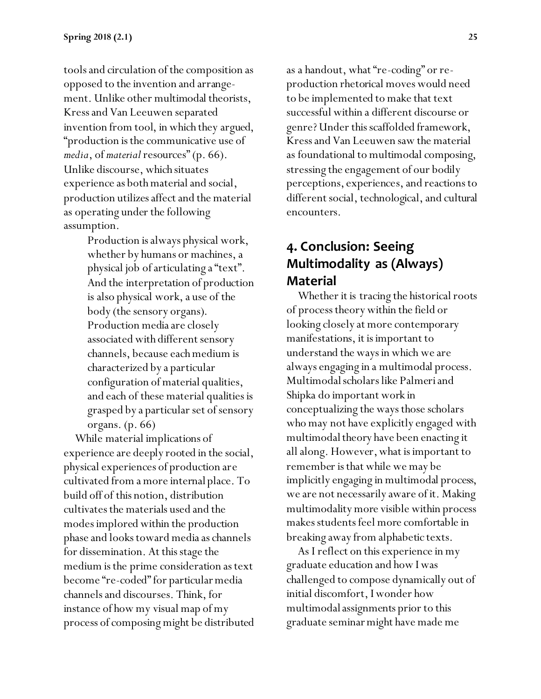tools and circulation of the composition as opposed to the invention and arrangement. Unlike other multimodal theorists, Kress and Van Leeuwen separated invention from tool, in which they argued, "production is the communicative use of *media*, of *material* resources" (p. 66). Unlike discourse, which situates experience as both material and social, production utilizes affect and the material as operating under the following assumption.

> Production is always physical work, whether by humans or machines, a physical job of articulating a "text". And the interpretation of production is also physical work, a use of the body (the sensory organs). Production media are closely associated with different sensory channels, because each medium is characterized by a particular configuration of material qualities, and each of these material qualities is grasped by a particular set of sensory organs. (p. 66)

 While material implications of experience are deeply rooted in the social, physical experiences of production are cultivated from a more internal place. To build off of this notion, distribution cultivates the materials used and the modes implored within the production phase and looks toward media as channels for dissemination. At this stage the medium is the prime consideration as text become "re-coded" for particular media channels and discourses. Think, for instance of how my visual map of my process of composing might be distributed as a handout, what "re-coding" or reproduction rhetorical moves would need to be implemented to make that text successful within a different discourse or genre? Under this scaffolded framework, Kress and Van Leeuwen saw the material as foundational to multimodal composing, stressing the engagement of our bodily perceptions, experiences, and reactions to different social, technological, and cultural encounters.

## **4. Conclusion: Seeing Multimodality as (Always) Material**

 Whether it is tracing the historical roots of process theory within the field or looking closely at more contemporary manifestations, it is important to understand the ways in which we are always engaging in a multimodal process. Multimodal scholars like Palmeri and Shipka do important work in conceptualizing the ways those scholars who may not have explicitly engaged with multimodal theory have been enacting it all along. However, what is important to remember is that while we may be implicitly engaging in multimodal process, we are not necessarily aware of it. Making multimodality more visible within process makes students feel more comfortable in breaking away from alphabetic texts.

 As I reflect on this experience in my graduate education and how I was challenged to compose dynamically out of initial discomfort, I wonder how multimodal assignments prior to this graduate seminar might have made me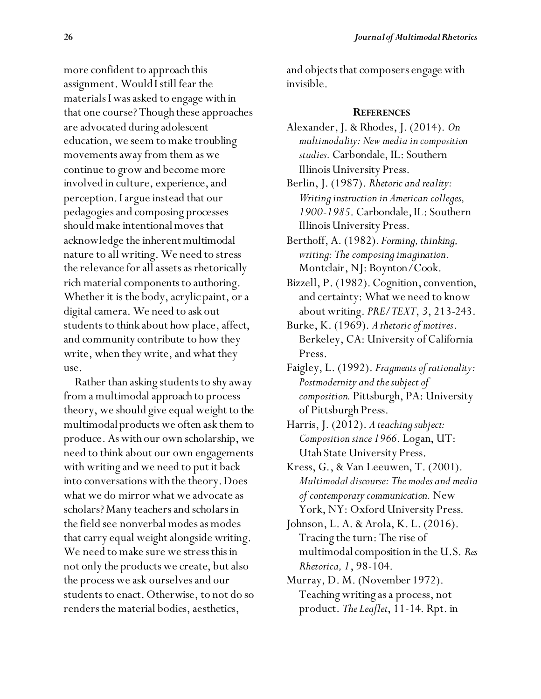more confident to approach this assignment. Would I still fear the materials I was asked to engage with in that one course? Though these approaches are advocated during adolescent education, we seem to make troubling movements away from them as we continue to grow and become more involved in culture, experience, and perception. I argue instead that our pedagogies and composing processes should make intentional moves that acknowledge the inherent multimodal nature to all writing. We need to stress the relevance for all assets as rhetorically rich material components to authoring. Whether it is the body, acrylic paint, or a digital camera. We need to ask out students to think about how place, affect, and community contribute to how they write, when they write, and what they use.

 Rather than asking students to shy away from a multimodal approach to process theory, we should give equal weight to the multimodal products we often ask them to produce. As with our own scholarship, we need to think about our own engagements with writing and we need to put it back into conversations with the theory. Does what we do mirror what we advocate as scholars? Many teachers and scholars in the field see nonverbal modes as modes that carry equal weight alongside writing. We need to make sure we stress this in not only the products we create, but also the process we ask ourselves and our students to enact. Otherwise, to not do so renders the material bodies, aesthetics,

and objects that composers engage with invisible.

#### **REFERENCES**

- Alexander, J. & Rhodes, J. (2014). *On multimodality: New media in composition studies.* Carbondale, IL: Southern Illinois University Press.
- Berlin, J. (1987). *Rhetoric and reality: Writing instruction in American colleges, 1900-1985*. Carbondale, IL: Southern Illinois University Press.
- Berthoff, A. (1982). *Forming, thinking, writing: The composing imagination.* Montclair, NJ: Boynton/Cook.
- Bizzell, P. (1982). Cognition, convention, and certainty: What we need to know about writing. *PRE/TEXT*, *3*, 213-243.
- Burke, K. (1969). *A rhetoric of motives*. Berkeley, CA: University of California Press.
- Faigley, L. (1992). *Fragments of rationality: Postmodernity and the subject of composition.* Pittsburgh, PA: University of Pittsburgh Press.

Harris, J. (2012). *A teaching subject: Composition since 1966.* Logan, UT: Utah State University Press.

Kress, G., & Van Leeuwen, T. (2001). *Multimodal discourse: The modes and media of contemporary communication.* New York, NY: Oxford University Press.

Johnson, L. A. & Arola, K. L. (2016). Tracing the turn: The rise of multimodal composition in the U.S. *Res Rhetorica, 1*, 98-104.

Murray, D. M. (November 1972). Teaching writing as a process, not product. *The Leaflet*, 11-14. Rpt. in